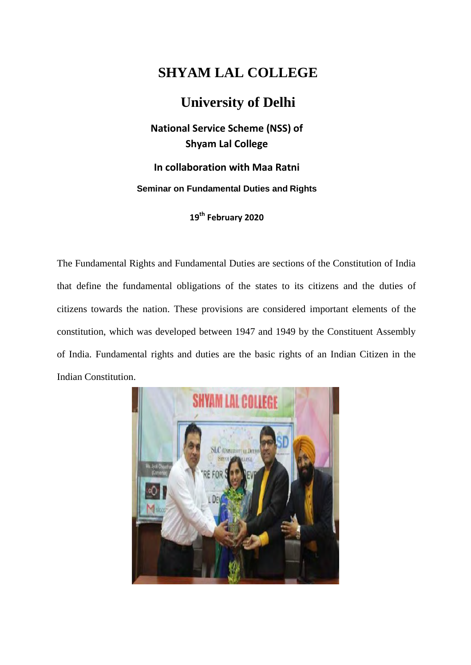## **SHYAM LAL COLLEGE**

## **University of Delhi**

**National Service Scheme (NSS) of Shyam Lal College** 

**In collaboration with Maa Ratni Seminar on Fundamental Duties and Rights** 

**19th February 2020** 

The Fundamental Rights and Fundamental Duties are sections of the Constitution of India that define the fundamental obligations of the states to its citizens and the duties of citizens towards the nation. These provisions are considered important elements of the constitution, which was developed between 1947 and 1949 by the Constituent Assembly of India. Fundamental rights and duties are the basic rights of an Indian Citizen in the Indian Constitution.

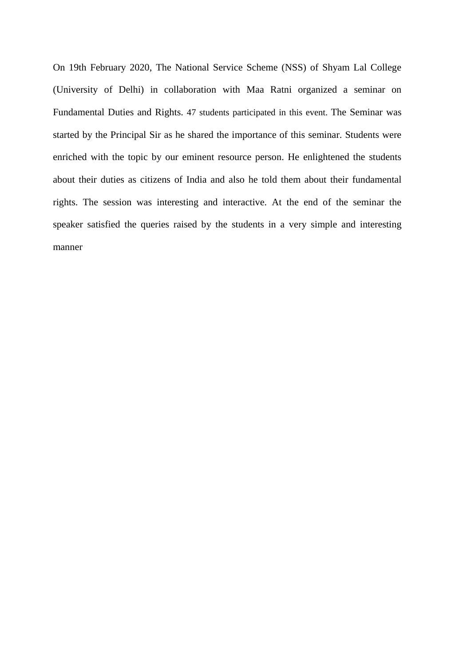On 19th February 2020, The National Service Scheme (NSS) of Shyam Lal College (University of Delhi) in collaboration with Maa Ratni organized a seminar on Fundamental Duties and Rights. 47 students participated in this event. The Seminar was started by the Principal Sir as he shared the importance of this seminar. Students were enriched with the topic by our eminent resource person. He enlightened the students about their duties as citizens of India and also he told them about their fundamental rights. The session was interesting and interactive. At the end of the seminar the speaker satisfied the queries raised by the students in a very simple and interesting manner